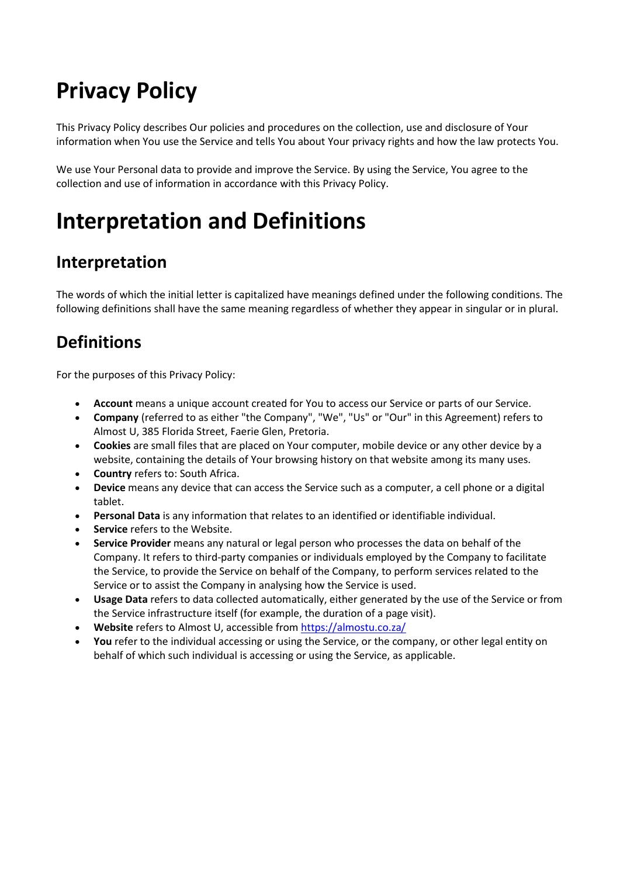# **Privacy Policy**

This Privacy Policy describes Our policies and procedures on the collection, use and disclosure of Your information when You use the Service and tells You about Your privacy rights and how the law protects You.

We use Your Personal data to provide and improve the Service. By using the Service, You agree to the collection and use of information in accordance with this Privacy Policy.

# **Interpretation and Definitions**

### **Interpretation**

The words of which the initial letter is capitalized have meanings defined under the following conditions. The following definitions shall have the same meaning regardless of whether they appear in singular or in plural.

### **Definitions**

For the purposes of this Privacy Policy:

- **Account** means a unique account created for You to access our Service or parts of our Service.
- **Company** (referred to as either "the Company", "We", "Us" or "Our" in this Agreement) refers to Almost U, 385 Florida Street, Faerie Glen, Pretoria.
- **Cookies** are small files that are placed on Your computer, mobile device or any other device by a website, containing the details of Your browsing history on that website among its many uses.
- **Country** refers to: South Africa.
- **Device** means any device that can access the Service such as a computer, a cell phone or a digital tablet.
- **Personal Data** is any information that relates to an identified or identifiable individual.
- **Service** refers to the Website.
- **Service Provider** means any natural or legal person who processes the data on behalf of the Company. It refers to third-party companies or individuals employed by the Company to facilitate the Service, to provide the Service on behalf of the Company, to perform services related to the Service or to assist the Company in analysing how the Service is used.
- **Usage Data** refers to data collected automatically, either generated by the use of the Service or from the Service infrastructure itself (for example, the duration of a page visit).
- **Website** refers to Almost U, accessible from<https://almostu.co.za/>
- **You** refer to the individual accessing or using the Service, or the company, or other legal entity on behalf of which such individual is accessing or using the Service, as applicable.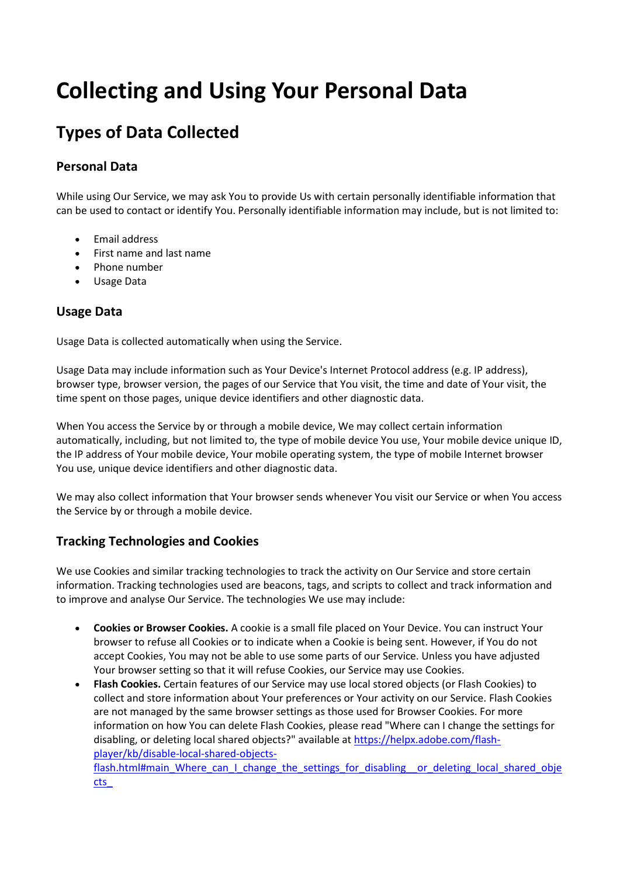# **Collecting and Using Your Personal Data**

### **Types of Data Collected**

### **Personal Data**

While using Our Service, we may ask You to provide Us with certain personally identifiable information that can be used to contact or identify You. Personally identifiable information may include, but is not limited to:

- Email address
- First name and last name
- Phone number
- Usage Data

#### **Usage Data**

Usage Data is collected automatically when using the Service.

Usage Data may include information such as Your Device's Internet Protocol address (e.g. IP address), browser type, browser version, the pages of our Service that You visit, the time and date of Your visit, the time spent on those pages, unique device identifiers and other diagnostic data.

When You access the Service by or through a mobile device, We may collect certain information automatically, including, but not limited to, the type of mobile device You use, Your mobile device unique ID, the IP address of Your mobile device, Your mobile operating system, the type of mobile Internet browser You use, unique device identifiers and other diagnostic data.

We may also collect information that Your browser sends whenever You visit our Service or when You access the Service by or through a mobile device.

#### **Tracking Technologies and Cookies**

We use Cookies and similar tracking technologies to track the activity on Our Service and store certain information. Tracking technologies used are beacons, tags, and scripts to collect and track information and to improve and analyse Our Service. The technologies We use may include:

- **Cookies or Browser Cookies.** A cookie is a small file placed on Your Device. You can instruct Your browser to refuse all Cookies or to indicate when a Cookie is being sent. However, if You do not accept Cookies, You may not be able to use some parts of our Service. Unless you have adjusted Your browser setting so that it will refuse Cookies, our Service may use Cookies.
- **Flash Cookies.** Certain features of our Service may use local stored objects (or Flash Cookies) to collect and store information about Your preferences or Your activity on our Service. Flash Cookies are not managed by the same browser settings as those used for Browser Cookies. For more information on how You can delete Flash Cookies, please read "Where can I change the settings for disabling, or deleting local shared objects?" available at [https://helpx.adobe.com/flash](https://helpx.adobe.com/flash-player/kb/disable-local-shared-objects-flash.html#main_Where_can_I_change_the_settings_for_disabling__or_deleting_local_shared_objects_)[player/kb/disable-local-shared-objects](https://helpx.adobe.com/flash-player/kb/disable-local-shared-objects-flash.html#main_Where_can_I_change_the_settings_for_disabling__or_deleting_local_shared_objects_)[flash.html#main\\_Where\\_can\\_I\\_change\\_the\\_settings\\_for\\_disabling\\_\\_or\\_deleting\\_local\\_shared\\_obje](https://helpx.adobe.com/flash-player/kb/disable-local-shared-objects-flash.html#main_Where_can_I_change_the_settings_for_disabling__or_deleting_local_shared_objects_) [cts\\_](https://helpx.adobe.com/flash-player/kb/disable-local-shared-objects-flash.html#main_Where_can_I_change_the_settings_for_disabling__or_deleting_local_shared_objects_)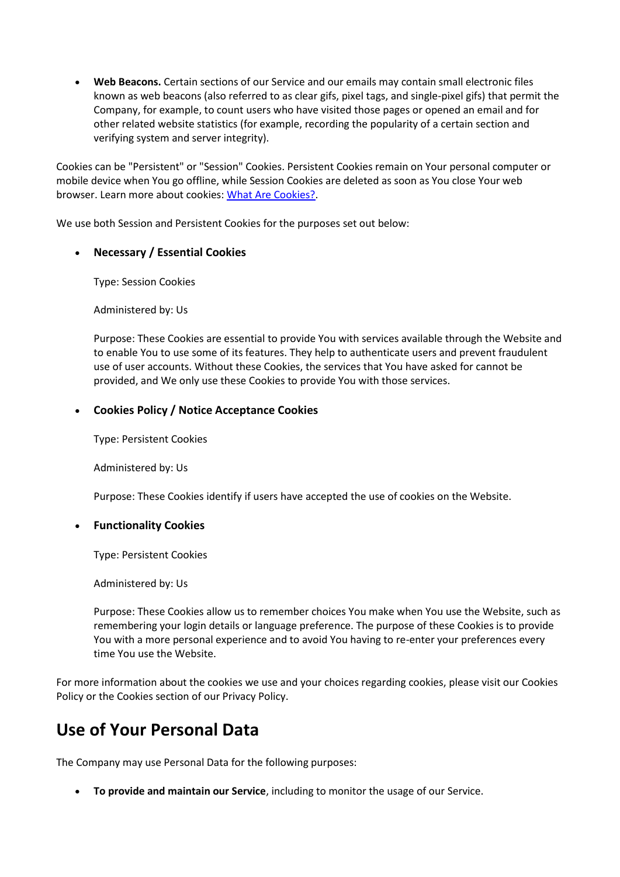• **Web Beacons.** Certain sections of our Service and our emails may contain small electronic files known as web beacons (also referred to as clear gifs, pixel tags, and single-pixel gifs) that permit the Company, for example, to count users who have visited those pages or opened an email and for other related website statistics (for example, recording the popularity of a certain section and verifying system and server integrity).

Cookies can be "Persistent" or "Session" Cookies. Persistent Cookies remain on Your personal computer or mobile device when You go offline, while Session Cookies are deleted as soon as You close Your web browser. Learn more about cookies: [What Are Cookies?.](https://www.privacypolicies.com/blog/cookies/)

We use both Session and Persistent Cookies for the purposes set out below:

#### • **Necessary / Essential Cookies**

Type: Session Cookies

Administered by: Us

Purpose: These Cookies are essential to provide You with services available through the Website and to enable You to use some of its features. They help to authenticate users and prevent fraudulent use of user accounts. Without these Cookies, the services that You have asked for cannot be provided, and We only use these Cookies to provide You with those services.

#### • **Cookies Policy / Notice Acceptance Cookies**

Type: Persistent Cookies

Administered by: Us

Purpose: These Cookies identify if users have accepted the use of cookies on the Website.

#### • **Functionality Cookies**

Type: Persistent Cookies

Administered by: Us

Purpose: These Cookies allow us to remember choices You make when You use the Website, such as remembering your login details or language preference. The purpose of these Cookies is to provide You with a more personal experience and to avoid You having to re-enter your preferences every time You use the Website.

For more information about the cookies we use and your choices regarding cookies, please visit our Cookies Policy or the Cookies section of our Privacy Policy.

### **Use of Your Personal Data**

The Company may use Personal Data for the following purposes:

• **To provide and maintain our Service**, including to monitor the usage of our Service.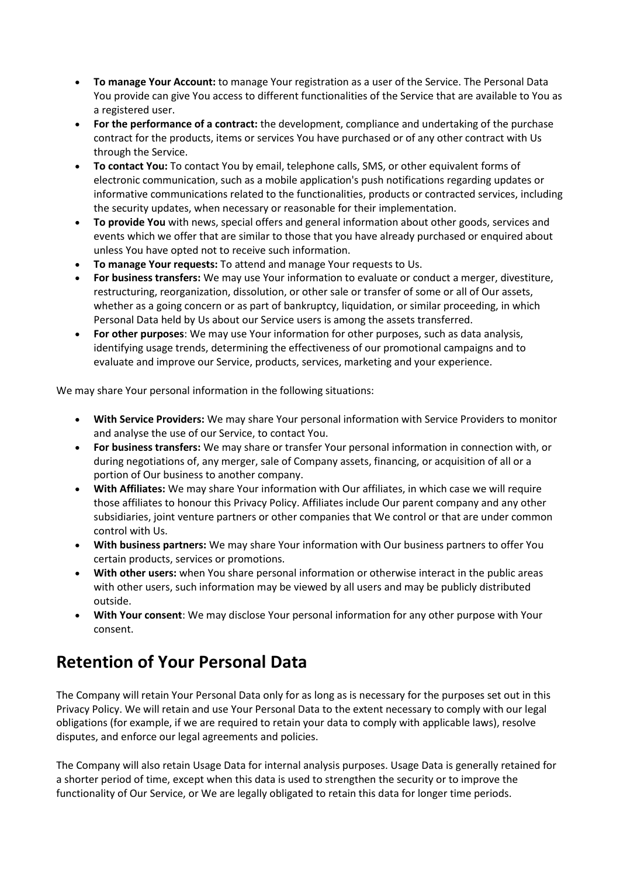- **To manage Your Account:** to manage Your registration as a user of the Service. The Personal Data You provide can give You access to different functionalities of the Service that are available to You as a registered user.
- **For the performance of a contract:** the development, compliance and undertaking of the purchase contract for the products, items or services You have purchased or of any other contract with Us through the Service.
- **To contact You:** To contact You by email, telephone calls, SMS, or other equivalent forms of electronic communication, such as a mobile application's push notifications regarding updates or informative communications related to the functionalities, products or contracted services, including the security updates, when necessary or reasonable for their implementation.
- **To provide You** with news, special offers and general information about other goods, services and events which we offer that are similar to those that you have already purchased or enquired about unless You have opted not to receive such information.
- **To manage Your requests:** To attend and manage Your requests to Us.
- **For business transfers:** We may use Your information to evaluate or conduct a merger, divestiture, restructuring, reorganization, dissolution, or other sale or transfer of some or all of Our assets, whether as a going concern or as part of bankruptcy, liquidation, or similar proceeding, in which Personal Data held by Us about our Service users is among the assets transferred.
- **For other purposes**: We may use Your information for other purposes, such as data analysis, identifying usage trends, determining the effectiveness of our promotional campaigns and to evaluate and improve our Service, products, services, marketing and your experience.

We may share Your personal information in the following situations:

- **With Service Providers:** We may share Your personal information with Service Providers to monitor and analyse the use of our Service, to contact You.
- **For business transfers:** We may share or transfer Your personal information in connection with, or during negotiations of, any merger, sale of Company assets, financing, or acquisition of all or a portion of Our business to another company.
- **With Affiliates:** We may share Your information with Our affiliates, in which case we will require those affiliates to honour this Privacy Policy. Affiliates include Our parent company and any other subsidiaries, joint venture partners or other companies that We control or that are under common control with Us.
- **With business partners:** We may share Your information with Our business partners to offer You certain products, services or promotions.
- **With other users:** when You share personal information or otherwise interact in the public areas with other users, such information may be viewed by all users and may be publicly distributed outside.
- **With Your consent**: We may disclose Your personal information for any other purpose with Your consent.

### **Retention of Your Personal Data**

The Company will retain Your Personal Data only for as long as is necessary for the purposes set out in this Privacy Policy. We will retain and use Your Personal Data to the extent necessary to comply with our legal obligations (for example, if we are required to retain your data to comply with applicable laws), resolve disputes, and enforce our legal agreements and policies.

The Company will also retain Usage Data for internal analysis purposes. Usage Data is generally retained for a shorter period of time, except when this data is used to strengthen the security or to improve the functionality of Our Service, or We are legally obligated to retain this data for longer time periods.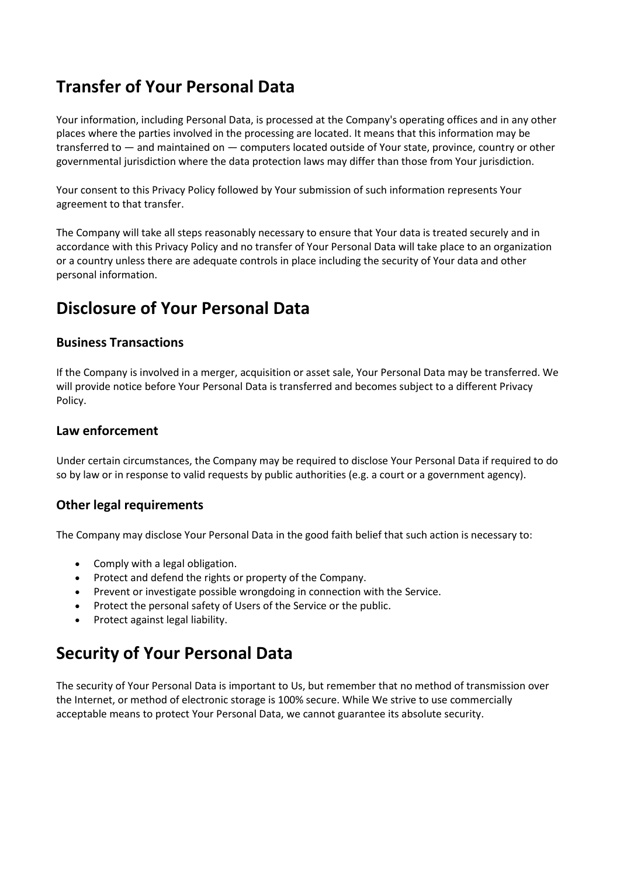### **Transfer of Your Personal Data**

Your information, including Personal Data, is processed at the Company's operating offices and in any other places where the parties involved in the processing are located. It means that this information may be transferred to — and maintained on — computers located outside of Your state, province, country or other governmental jurisdiction where the data protection laws may differ than those from Your jurisdiction.

Your consent to this Privacy Policy followed by Your submission of such information represents Your agreement to that transfer.

The Company will take all steps reasonably necessary to ensure that Your data is treated securely and in accordance with this Privacy Policy and no transfer of Your Personal Data will take place to an organization or a country unless there are adequate controls in place including the security of Your data and other personal information.

### **Disclosure of Your Personal Data**

#### **Business Transactions**

If the Company is involved in a merger, acquisition or asset sale, Your Personal Data may be transferred. We will provide notice before Your Personal Data is transferred and becomes subject to a different Privacy Policy.

#### **Law enforcement**

Under certain circumstances, the Company may be required to disclose Your Personal Data if required to do so by law or in response to valid requests by public authorities (e.g. a court or a government agency).

#### **Other legal requirements**

The Company may disclose Your Personal Data in the good faith belief that such action is necessary to:

- Comply with a legal obligation.
- Protect and defend the rights or property of the Company.
- Prevent or investigate possible wrongdoing in connection with the Service.
- Protect the personal safety of Users of the Service or the public.
- Protect against legal liability.

### **Security of Your Personal Data**

The security of Your Personal Data is important to Us, but remember that no method of transmission over the Internet, or method of electronic storage is 100% secure. While We strive to use commercially acceptable means to protect Your Personal Data, we cannot guarantee its absolute security.